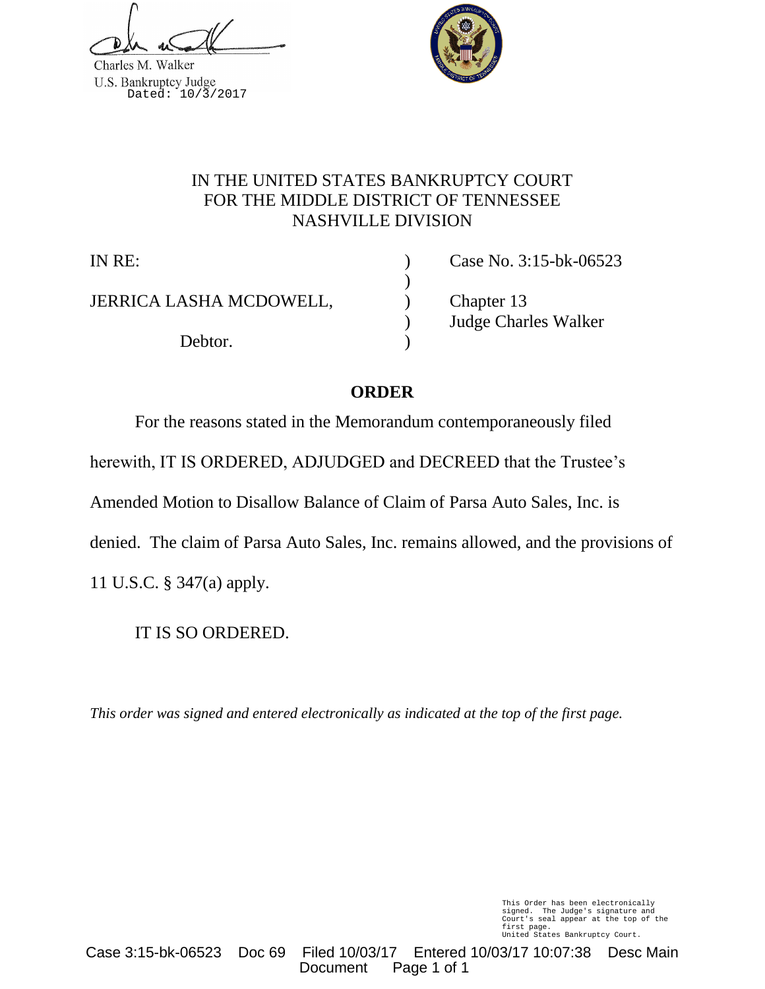Charles M. Walker U.S. Bankruptcy Judge<br>Dated: 10/3/2017



## IN THE UNITED STATES BANKRUPTCY COURT FOR THE MIDDLE DISTRICT OF TENNESSEE NASHVILLE DIVISION

)

JERRICA LASHA MCDOWELL, (Chapter 13)

Debtor.

IN RE: ) Case No. 3:15-bk-06523 ) Judge Charles Walker

# **ORDER**

For the reasons stated in the Memorandum contemporaneously filed herewith, IT IS ORDERED, ADJUDGED and DECREED that the Trustee's Amended Motion to Disallow Balance of Claim of Parsa Auto Sales, Inc. is denied. The claim of Parsa Auto Sales, Inc. remains allowed, and the provisions of 11 U.S.C. § 347(a) apply.

IT IS SO ORDERED.

*This order was signed and entered electronically as indicated at the top of the first page.*

This Order has been electronically signed. The Judge's signature and Court's seal appear at the top of the first page. United States Bankruptcy Court.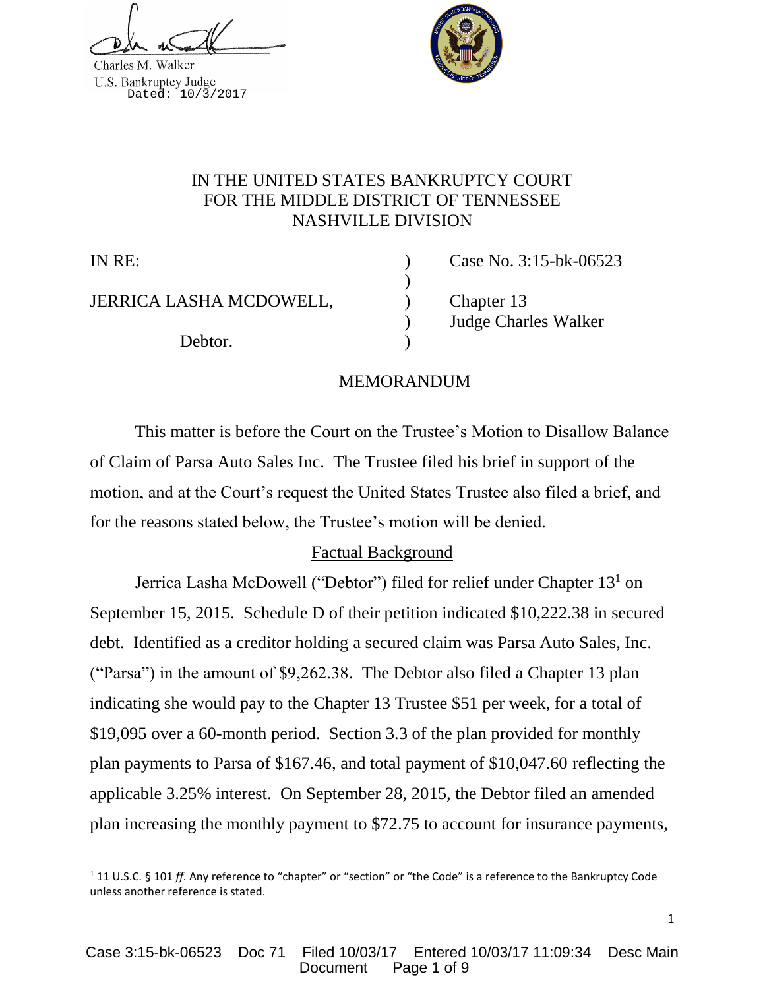Charles M. Walker U.S. Bankruptcy Judge<br>Dated: 10/3/2017



## IN THE UNITED STATES BANKRUPTCY COURT FOR THE MIDDLE DISTRICT OF TENNESSEE NASHVILLE DIVISION

l

JERRICA LASHA MCDOWELL, (Chapter 13)

Debtor.

IN RE: ) Case No. 3:15-bk-06523 ) Judge Charles Walker

## MEMORANDUM

)

This matter is before the Court on the Trustee's Motion to Disallow Balance of Claim of Parsa Auto Sales Inc. The Trustee filed his brief in support of the motion, and at the Court's request the United States Trustee also filed a brief, and for the reasons stated below, the Trustee's motion will be denied.

# Factual Background

Jerrica Lasha McDowell ("Debtor") filed for relief under Chapter 13<sup>1</sup> on September 15, 2015. Schedule D of their petition indicated \$10,222.38 in secured debt. Identified as a creditor holding a secured claim was Parsa Auto Sales, Inc. ("Parsa") in the amount of \$9,262.38. The Debtor also filed a Chapter 13 plan indicating she would pay to the Chapter 13 Trustee \$51 per week, for a total of \$19,095 over a 60-month period. Section 3.3 of the plan provided for monthly plan payments to Parsa of \$167.46, and total payment of \$10,047.60 reflecting the applicable 3.25% interest. On September 28, 2015, the Debtor filed an amended plan increasing the monthly payment to \$72.75 to account for insurance payments,

<sup>1</sup> 11 U.S.C. § 101 *ff*. Any reference to "chapter" or "section" or "the Code" is a reference to the Bankruptcy Code unless another reference is stated.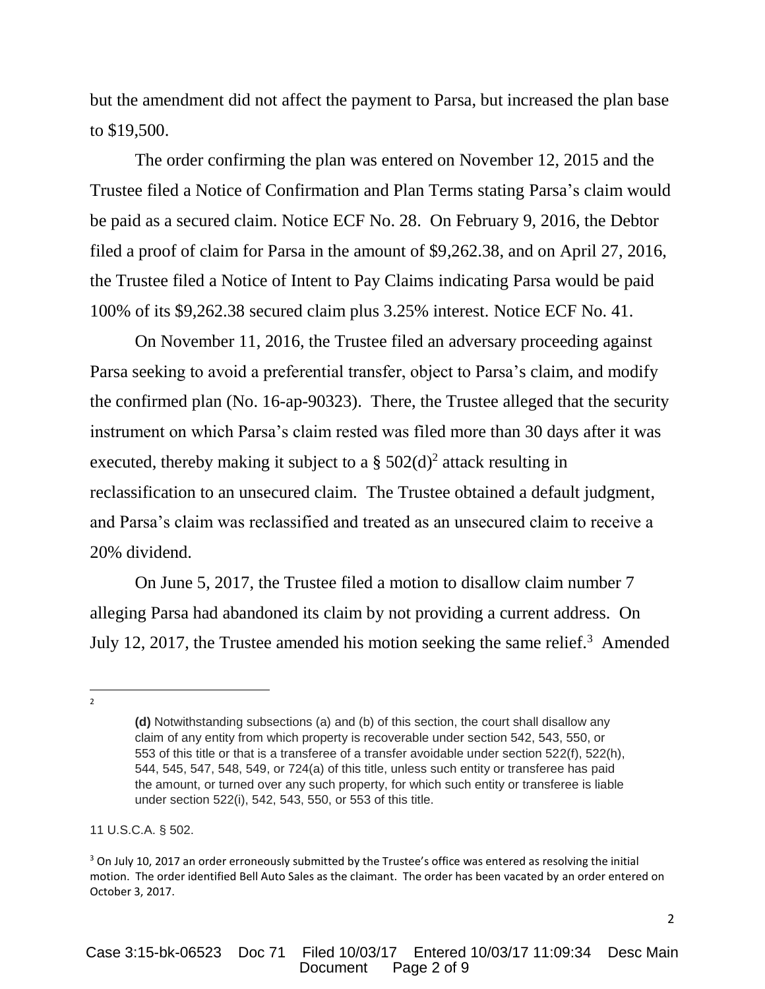but the amendment did not affect the payment to Parsa, but increased the plan base to \$19,500.

The order confirming the plan was entered on November 12, 2015 and the Trustee filed a Notice of Confirmation and Plan Terms stating Parsa's claim would be paid as a secured claim. Notice ECF No. 28. On February 9, 2016, the Debtor filed a proof of claim for Parsa in the amount of \$9,262.38, and on April 27, 2016, the Trustee filed a Notice of Intent to Pay Claims indicating Parsa would be paid 100% of its \$9,262.38 secured claim plus 3.25% interest. Notice ECF No. 41.

On November 11, 2016, the Trustee filed an adversary proceeding against Parsa seeking to avoid a preferential transfer, object to Parsa's claim, and modify the confirmed plan (No. 16-ap-90323). There, the Trustee alleged that the security instrument on which Parsa's claim rested was filed more than 30 days after it was executed, thereby making it subject to a  $\S 502(d)^2$  attack resulting in reclassification to an unsecured claim. The Trustee obtained a default judgment, and Parsa's claim was reclassified and treated as an unsecured claim to receive a 20% dividend.

On June 5, 2017, the Trustee filed a motion to disallow claim number 7 alleging Parsa had abandoned its claim by not providing a current address. On July 12, 2017, the Trustee amended his motion seeking the same relief.<sup>3</sup> Amended

 $\overline{a}$ 2

**<sup>(</sup>d)** Notwithstanding subsections (a) and (b) of this section, the court shall disallow any claim of any entity from which property is recoverable under section 542, 543, 550, or 553 of this title or that is a transferee of a transfer avoidable under section 522(f), 522(h), 544, 545, 547, 548, 549, or 724(a) of this title, unless such entity or transferee has paid the amount, or turned over any such property, for which such entity or transferee is liable under section 522(i), 542, 543, 550, or 553 of this title.

<sup>11</sup> U.S.C.A. § 502.

<sup>&</sup>lt;sup>3</sup> On July 10, 2017 an order erroneously submitted by the Trustee's office was entered as resolving the initial motion. The order identified Bell Auto Sales as the claimant. The order has been vacated by an order entered on October 3, 2017.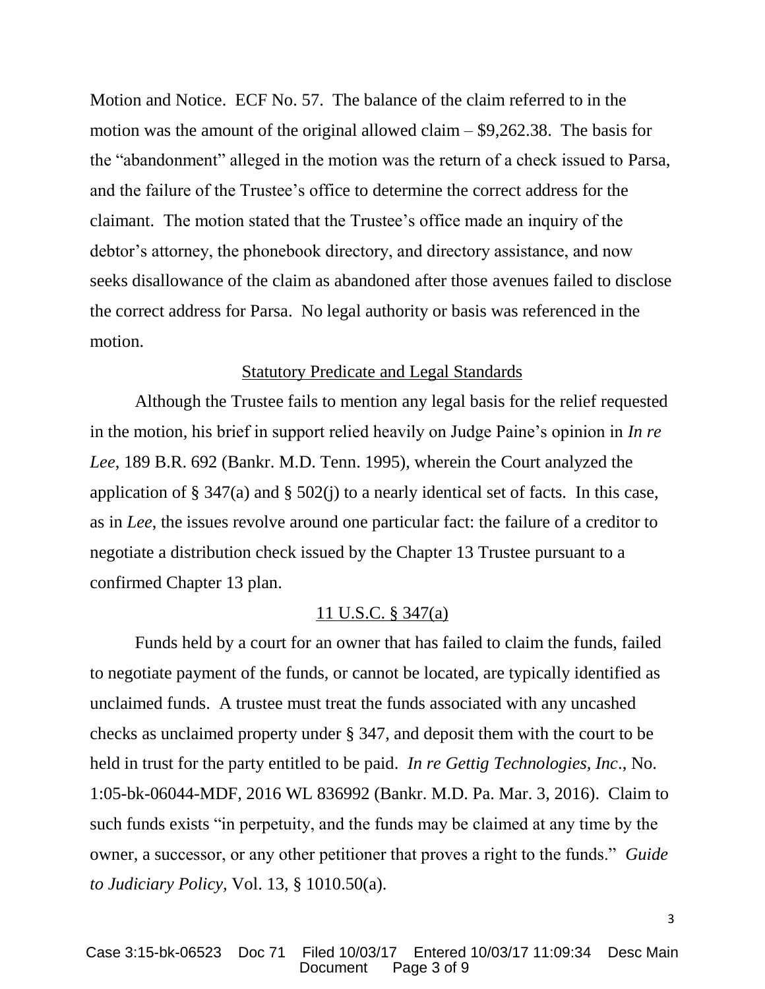Motion and Notice. ECF No. 57. The balance of the claim referred to in the motion was the amount of the original allowed claim – \$9,262.38. The basis for the "abandonment" alleged in the motion was the return of a check issued to Parsa, and the failure of the Trustee's office to determine the correct address for the claimant. The motion stated that the Trustee's office made an inquiry of the debtor's attorney, the phonebook directory, and directory assistance, and now seeks disallowance of the claim as abandoned after those avenues failed to disclose the correct address for Parsa. No legal authority or basis was referenced in the motion.

#### Statutory Predicate and Legal Standards

Although the Trustee fails to mention any legal basis for the relief requested in the motion, his brief in support relied heavily on Judge Paine's opinion in *In re Lee*, 189 B.R. 692 (Bankr. M.D. Tenn. 1995), wherein the Court analyzed the application of § 347(a) and § 502(j) to a nearly identical set of facts. In this case, as in *Lee*, the issues revolve around one particular fact: the failure of a creditor to negotiate a distribution check issued by the Chapter 13 Trustee pursuant to a confirmed Chapter 13 plan.

#### 11 U.S.C. § 347(a)

Funds held by a court for an owner that has failed to claim the funds, failed to negotiate payment of the funds, or cannot be located, are typically identified as unclaimed funds. A trustee must treat the funds associated with any uncashed checks as unclaimed property under § 347, and deposit them with the court to be held in trust for the party entitled to be paid. *In re Gettig Technologies, Inc*., No. 1:05-bk-06044-MDF, 2016 WL 836992 (Bankr. M.D. Pa. Mar. 3, 2016). Claim to such funds exists "in perpetuity, and the funds may be claimed at any time by the owner, a successor, or any other petitioner that proves a right to the funds." *Guide to Judiciary Policy,* Vol. 13, § 1010.50(a).

3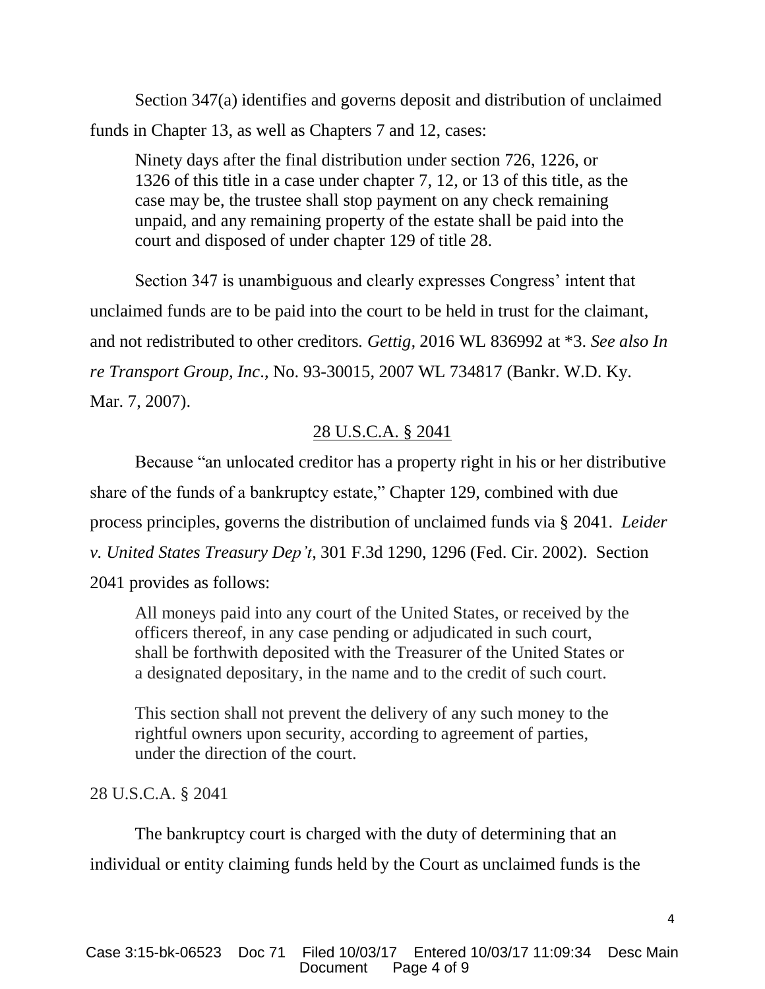Section 347(a) identifies and governs deposit and distribution of unclaimed funds in Chapter 13, as well as Chapters 7 and 12, cases:

Ninety days after the final distribution under section 726, 1226, or 1326 of this title in a case under chapter 7, 12, or 13 of this title, as the case may be, the trustee shall stop payment on any check remaining unpaid, and any remaining property of the estate shall be paid into the court and disposed of under chapter 129 of title 28.

Section 347 is unambiguous and clearly expresses Congress' intent that unclaimed funds are to be paid into the court to be held in trust for the claimant, and not redistributed to other creditors*. Gettig,* 2016 WL 836992 at \*3. *See also In re Transport Group, Inc*., No. 93-30015, 2007 WL 734817 (Bankr. W.D. Ky. Mar. 7, 2007).

### 28 U.S.C.A. § 2041

Because "an unlocated creditor has a property right in his or her distributive share of the funds of a bankruptcy estate," Chapter 129, combined with due process principles, governs the distribution of unclaimed funds via § 2041. *Leider v. United States Treasury Dep't*, 301 F.3d 1290, 1296 (Fed. Cir. 2002). Section 2041 provides as follows:

All moneys paid into any court of the United States, or received by the officers thereof, in any case pending or adjudicated in such court, shall be forthwith deposited with the Treasurer of the United States or a designated depositary, in the name and to the credit of such court.

This section shall not prevent the delivery of any such money to the rightful owners upon security, according to agreement of parties, under the direction of the court.

#### 28 U.S.C.A. § 2041

The bankruptcy court is charged with the duty of determining that an individual or entity claiming funds held by the Court as unclaimed funds is the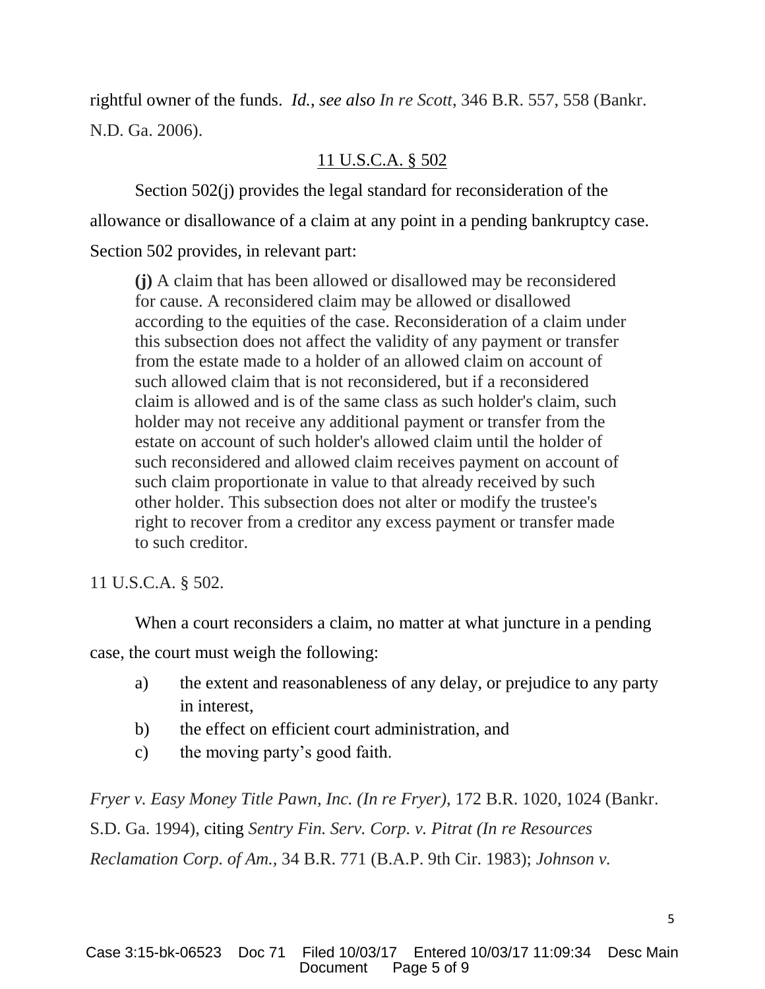rightful owner of the funds. *Id.*, *see also In re Scott*, 346 B.R. 557, 558 (Bankr. N.D. Ga. 2006).

### 11 U.S.C.A. § 502

Section 502(j) provides the legal standard for reconsideration of the allowance or disallowance of a claim at any point in a pending bankruptcy case. Section 502 provides, in relevant part:

**(j)** A claim that has been allowed or disallowed may be reconsidered for cause. A reconsidered claim may be allowed or disallowed according to the equities of the case. Reconsideration of a claim under this subsection does not affect the validity of any payment or transfer from the estate made to a holder of an allowed claim on account of such allowed claim that is not reconsidered, but if a reconsidered claim is allowed and is of the same class as such holder's claim, such holder may not receive any additional payment or transfer from the estate on account of such holder's allowed claim until the holder of such reconsidered and allowed claim receives payment on account of such claim proportionate in value to that already received by such other holder. This subsection does not alter or modify the trustee's right to recover from a creditor any excess payment or transfer made to such creditor.

11 U.S.C.A. § 502.

When a court reconsiders a claim, no matter at what juncture in a pending case, the court must weigh the following:

- a) the extent and reasonableness of any delay, or prejudice to any party in interest,
- b) the effect on efficient court administration, and
- c) the moving party's good faith.

*Fryer v. Easy Money Title Pawn, Inc. (In re Fryer)*, 172 B.R. 1020, 1024 (Bankr. S.D. Ga. 1994), citing *Sentry Fin. Serv. Corp. v. Pitrat (In re Resources Reclamation Corp. of Am.,* 34 B.R. 771 (B.A.P. 9th Cir. 1983); *Johnson v.*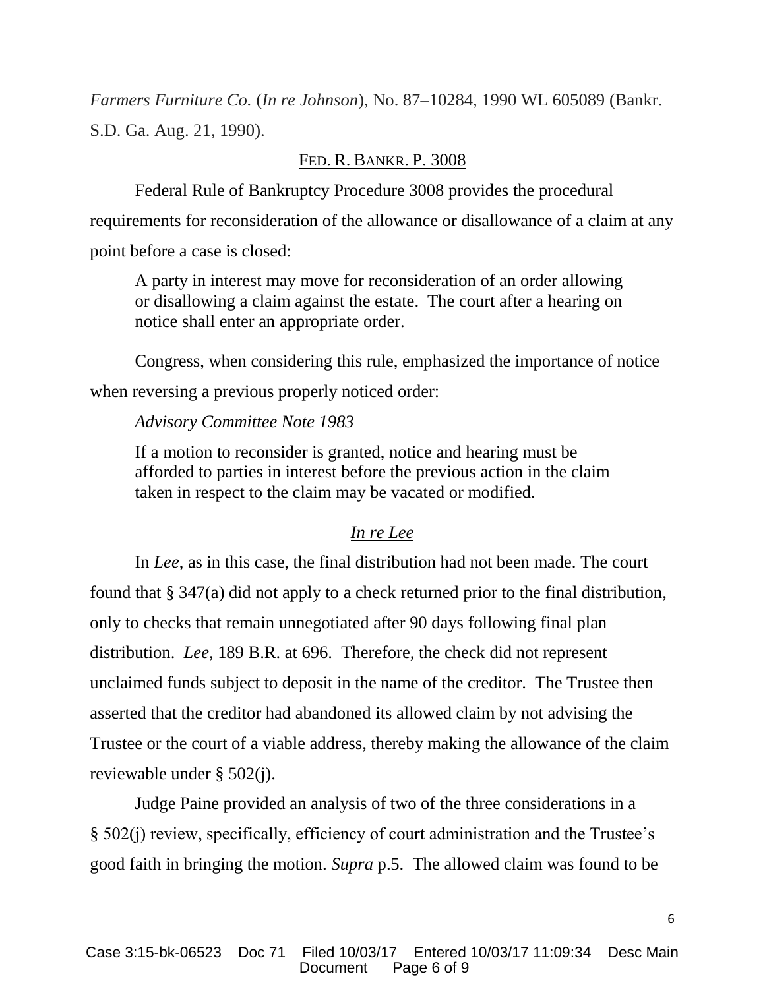*Farmers Furniture Co.* (*In re Johnson*), No. 87–10284, 1990 WL 605089 (Bankr. S.D. Ga. Aug. 21, 1990).

#### FED. R. BANKR. P. 3008

Federal Rule of Bankruptcy Procedure 3008 provides the procedural requirements for reconsideration of the allowance or disallowance of a claim at any point before a case is closed:

A party in interest may move for reconsideration of an order allowing or disallowing a claim against the estate. The court after a hearing on notice shall enter an appropriate order.

Congress, when considering this rule, emphasized the importance of notice when reversing a previous properly noticed order:

#### *Advisory Committee Note 1983*

If a motion to reconsider is granted, notice and hearing must be afforded to parties in interest before the previous action in the claim taken in respect to the claim may be vacated or modified.

#### *In re Lee*

In *Lee*, as in this case, the final distribution had not been made. The court found that § 347(a) did not apply to a check returned prior to the final distribution, only to checks that remain unnegotiated after 90 days following final plan distribution. *Lee*, 189 B.R. at 696. Therefore, the check did not represent unclaimed funds subject to deposit in the name of the creditor. The Trustee then asserted that the creditor had abandoned its allowed claim by not advising the Trustee or the court of a viable address, thereby making the allowance of the claim reviewable under § 502(j).

Judge Paine provided an analysis of two of the three considerations in a § 502(j) review, specifically, efficiency of court administration and the Trustee's good faith in bringing the motion. *Supra* p.5. The allowed claim was found to be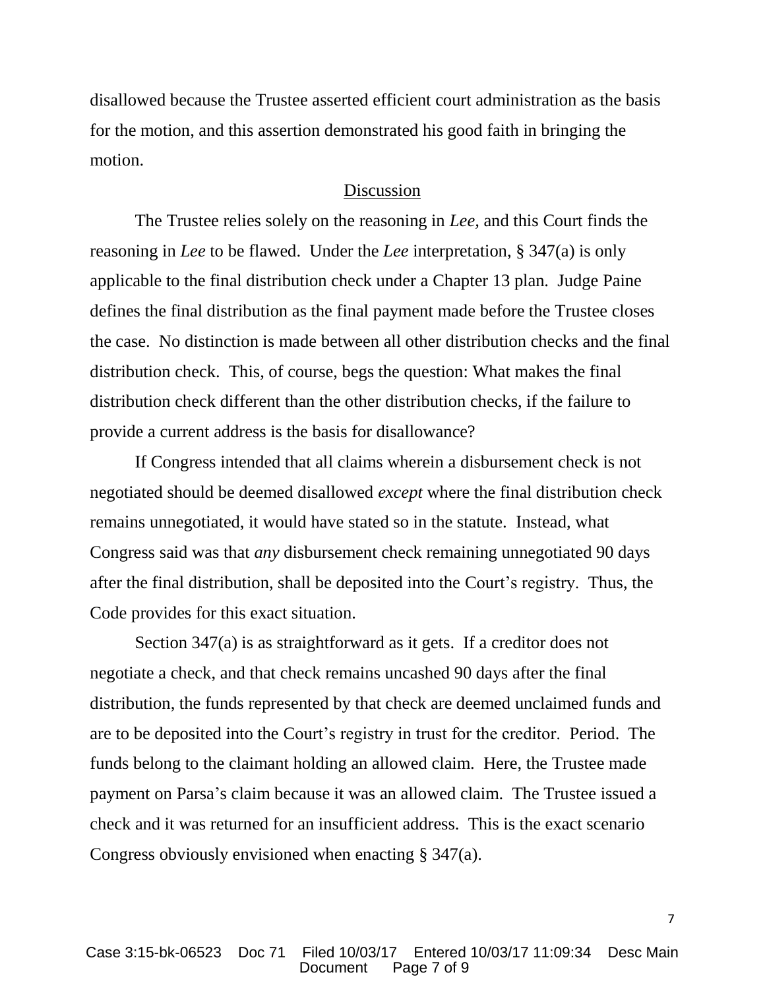disallowed because the Trustee asserted efficient court administration as the basis for the motion, and this assertion demonstrated his good faith in bringing the motion.

#### Discussion

The Trustee relies solely on the reasoning in *Lee,* and this Court finds the reasoning in *Lee* to be flawed. Under the *Lee* interpretation, § 347(a) is only applicable to the final distribution check under a Chapter 13 plan. Judge Paine defines the final distribution as the final payment made before the Trustee closes the case. No distinction is made between all other distribution checks and the final distribution check. This, of course, begs the question: What makes the final distribution check different than the other distribution checks, if the failure to provide a current address is the basis for disallowance?

If Congress intended that all claims wherein a disbursement check is not negotiated should be deemed disallowed *except* where the final distribution check remains unnegotiated, it would have stated so in the statute. Instead, what Congress said was that *any* disbursement check remaining unnegotiated 90 days after the final distribution, shall be deposited into the Court's registry. Thus, the Code provides for this exact situation.

Section 347(a) is as straightforward as it gets. If a creditor does not negotiate a check, and that check remains uncashed 90 days after the final distribution, the funds represented by that check are deemed unclaimed funds and are to be deposited into the Court's registry in trust for the creditor. Period. The funds belong to the claimant holding an allowed claim. Here, the Trustee made payment on Parsa's claim because it was an allowed claim. The Trustee issued a check and it was returned for an insufficient address. This is the exact scenario Congress obviously envisioned when enacting § 347(a).

7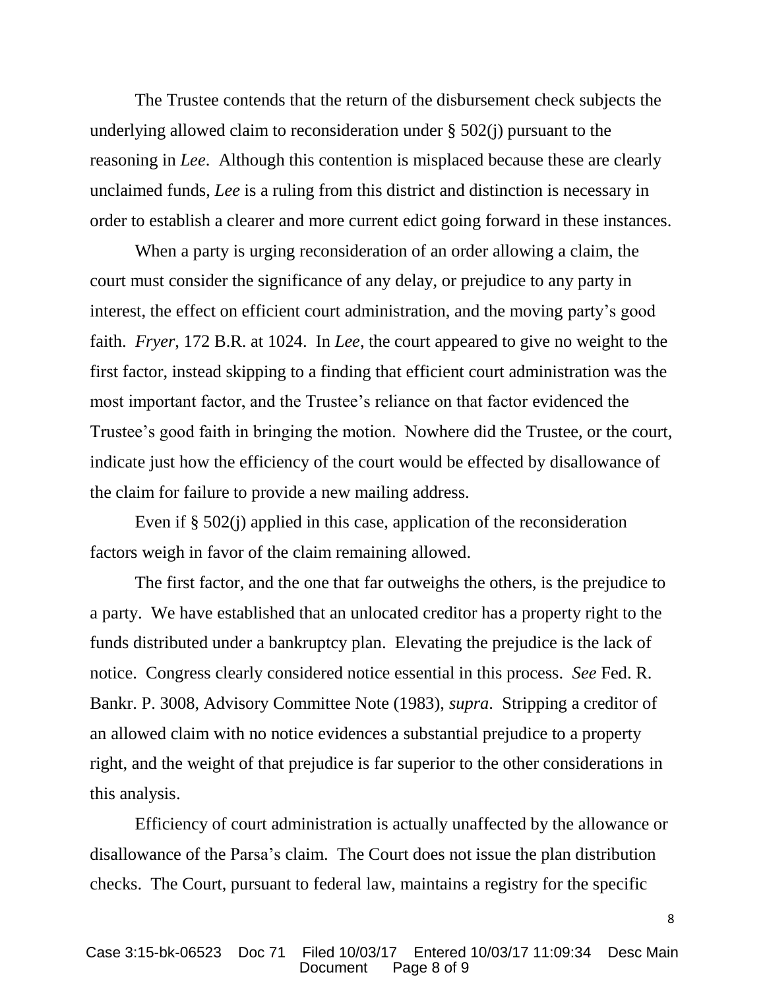The Trustee contends that the return of the disbursement check subjects the underlying allowed claim to reconsideration under § 502(j) pursuant to the reasoning in *Lee*. Although this contention is misplaced because these are clearly unclaimed funds, *Lee* is a ruling from this district and distinction is necessary in order to establish a clearer and more current edict going forward in these instances.

When a party is urging reconsideration of an order allowing a claim, the court must consider the significance of any delay, or prejudice to any party in interest, the effect on efficient court administration, and the moving party's good faith. *Fryer*, 172 B.R. at 1024. In *Lee*, the court appeared to give no weight to the first factor, instead skipping to a finding that efficient court administration was the most important factor, and the Trustee's reliance on that factor evidenced the Trustee's good faith in bringing the motion. Nowhere did the Trustee, or the court, indicate just how the efficiency of the court would be effected by disallowance of the claim for failure to provide a new mailing address.

Even if § 502(j) applied in this case, application of the reconsideration factors weigh in favor of the claim remaining allowed.

The first factor, and the one that far outweighs the others, is the prejudice to a party. We have established that an unlocated creditor has a property right to the funds distributed under a bankruptcy plan. Elevating the prejudice is the lack of notice. Congress clearly considered notice essential in this process. *See* Fed. R. Bankr. P. 3008, Advisory Committee Note (1983), *supra*. Stripping a creditor of an allowed claim with no notice evidences a substantial prejudice to a property right, and the weight of that prejudice is far superior to the other considerations in this analysis.

Efficiency of court administration is actually unaffected by the allowance or disallowance of the Parsa's claim. The Court does not issue the plan distribution checks. The Court, pursuant to federal law, maintains a registry for the specific

8